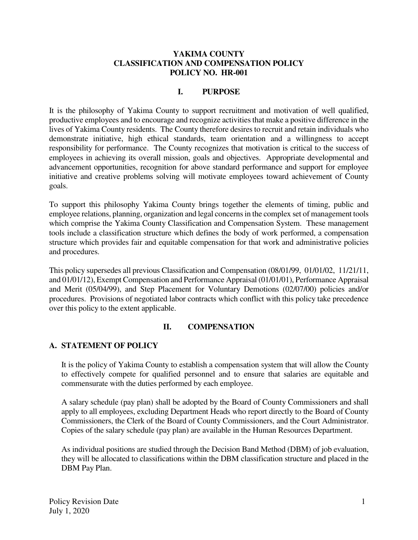#### **YAKIMA COUNTY CLASSIFICATION AND COMPENSATION POLICY POLICY NO. HR-001**

#### **I. PURPOSE**

It is the philosophy of Yakima County to support recruitment and motivation of well qualified, productive employees and to encourage and recognize activities that make a positive difference in the lives of Yakima County residents. The County therefore desires to recruit and retain individuals who demonstrate initiative, high ethical standards, team orientation and a willingness to accept responsibility for performance. The County recognizes that motivation is critical to the success of employees in achieving its overall mission, goals and objectives. Appropriate developmental and advancement opportunities, recognition for above standard performance and support for employee initiative and creative problems solving will motivate employees toward achievement of County goals.

To support this philosophy Yakima County brings together the elements of timing, public and employee relations, planning, organization and legal concerns in the complex set of management tools which comprise the Yakima County Classification and Compensation System. These management tools include a classification structure which defines the body of work performed, a compensation structure which provides fair and equitable compensation for that work and administrative policies and procedures.

This policy supersedes all previous Classification and Compensation (08/01/99, 01/01/02, 11/21/11, and 01/01/12), Exempt Compensation and Performance Appraisal (01/01/01), Performance Appraisal and Merit (05/04/99), and Step Placement for Voluntary Demotions (02/07/00) policies and/or procedures. Provisions of negotiated labor contracts which conflict with this policy take precedence over this policy to the extent applicable.

#### **II. COMPENSATION**

#### **A. STATEMENT OF POLICY**

It is the policy of Yakima County to establish a compensation system that will allow the County to effectively compete for qualified personnel and to ensure that salaries are equitable and commensurate with the duties performed by each employee.

A salary schedule (pay plan) shall be adopted by the Board of County Commissioners and shall apply to all employees, excluding Department Heads who report directly to the Board of County Commissioners, the Clerk of the Board of County Commissioners, and the Court Administrator. Copies of the salary schedule (pay plan) are available in the Human Resources Department.

As individual positions are studied through the Decision Band Method (DBM) of job evaluation, they will be allocated to classifications within the DBM classification structure and placed in the DBM Pay Plan.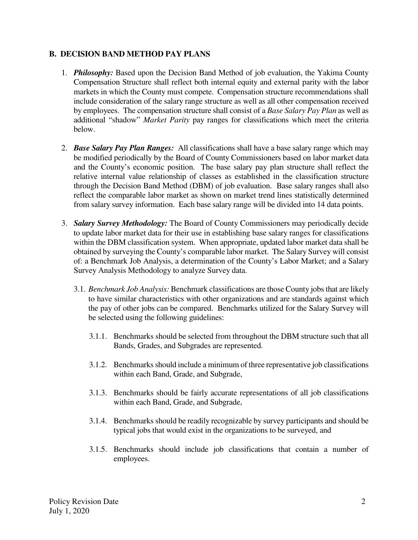### **B. DECISION BAND METHOD PAY PLANS**

- 1. *Philosophy:* Based upon the Decision Band Method of job evaluation, the Yakima County Compensation Structure shall reflect both internal equity and external parity with the labor markets in which the County must compete. Compensation structure recommendations shall include consideration of the salary range structure as well as all other compensation received by employees. The compensation structure shall consist of a *Base Salary Pay Plan* as well as additional "shadow" *Market Parity* pay ranges for classifications which meet the criteria below.
- 2. *Base Salary Pay Plan Ranges:* All classifications shall have a base salary range which may be modified periodically by the Board of County Commissioners based on labor market data and the County's economic position. The base salary pay plan structure shall reflect the relative internal value relationship of classes as established in the classification structure through the Decision Band Method (DBM) of job evaluation. Base salary ranges shall also reflect the comparable labor market as shown on market trend lines statistically determined from salary survey information. Each base salary range will be divided into 14 data points.
- 3. *Salary Survey Methodology:* The Board of County Commissioners may periodically decide to update labor market data for their use in establishing base salary ranges for classifications within the DBM classification system. When appropriate, updated labor market data shall be obtained by surveying the County's comparable labor market. The Salary Survey will consist of: a Benchmark Job Analysis, a determination of the County's Labor Market; and a Salary Survey Analysis Methodology to analyze Survey data.
	- 3.1. *Benchmark Job Analysis:* Benchmark classifications are those County jobs that are likely to have similar characteristics with other organizations and are standards against which the pay of other jobs can be compared. Benchmarks utilized for the Salary Survey will be selected using the following guidelines:
		- 3.1.1. Benchmarks should be selected from throughout the DBM structure such that all Bands, Grades, and Subgrades are represented.
		- 3.1.2. Benchmarks should include a minimum of three representative job classifications within each Band, Grade, and Subgrade,
		- 3.1.3. Benchmarks should be fairly accurate representations of all job classifications within each Band, Grade, and Subgrade,
		- 3.1.4. Benchmarks should be readily recognizable by survey participants and should be typical jobs that would exist in the organizations to be surveyed, and
		- 3.1.5. Benchmarks should include job classifications that contain a number of employees.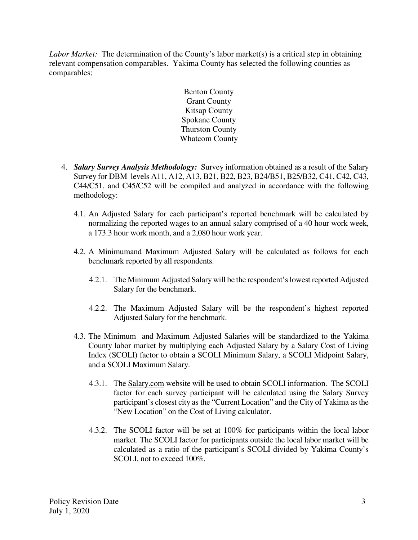*Labor Market:* The determination of the County's labor market(s) is a critical step in obtaining relevant compensation comparables. Yakima County has selected the following counties as comparables;

> Benton County Grant County Kitsap County Spokane County Thurston County Whatcom County

- 4. *Salary Survey Analysis Methodology:* Survey information obtained as a result of the Salary Survey for DBM levels A11, A12, A13, B21, B22, B23, B24/B51, B25/B32, C41, C42, C43, C44/C51, and C45/C52 will be compiled and analyzed in accordance with the following methodology:
	- 4.1. An Adjusted Salary for each participant's reported benchmark will be calculated by normalizing the reported wages to an annual salary comprised of a 40 hour work week, a 173.3 hour work month, and a 2,080 hour work year.
	- 4.2. A Minimumand Maximum Adjusted Salary will be calculated as follows for each benchmark reported by all respondents.
		- 4.2.1. The Minimum Adjusted Salary will be the respondent's lowest reported Adjusted Salary for the benchmark.
		- 4.2.2. The Maximum Adjusted Salary will be the respondent's highest reported Adjusted Salary for the benchmark.
	- 4.3. The Minimum and Maximum Adjusted Salaries will be standardized to the Yakima County labor market by multiplying each Adjusted Salary by a Salary Cost of Living Index (SCOLI) factor to obtain a SCOLI Minimum Salary, a SCOLI Midpoint Salary, and a SCOLI Maximum Salary.
		- 4.3.1. The Salary.com website will be used to obtain SCOLI information. The SCOLI factor for each survey participant will be calculated using the Salary Survey participant's closest city as the "Current Location" and the City of Yakima as the "New Location" on the Cost of Living calculator.
		- 4.3.2. The SCOLI factor will be set at 100% for participants within the local labor market. The SCOLI factor for participants outside the local labor market will be calculated as a ratio of the participant's SCOLI divided by Yakima County's SCOLI, not to exceed 100%.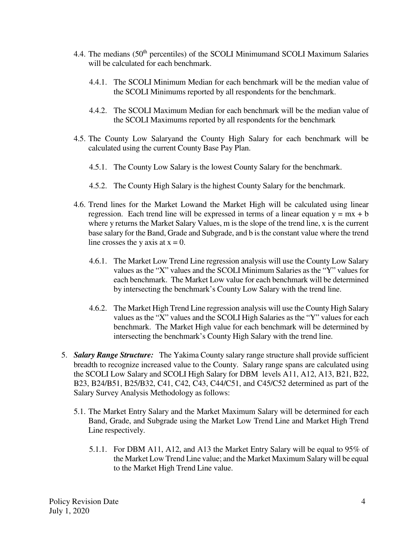- 4.4. The medians (50<sup>th</sup> percentiles) of the SCOLI Minimumand SCOLI Maximum Salaries will be calculated for each benchmark.
	- 4.4.1. The SCOLI Minimum Median for each benchmark will be the median value of the SCOLI Minimums reported by all respondents for the benchmark.
	- 4.4.2. The SCOLI Maximum Median for each benchmark will be the median value of the SCOLI Maximums reported by all respondents for the benchmark
- 4.5. The County Low Salaryand the County High Salary for each benchmark will be calculated using the current County Base Pay Plan.
	- 4.5.1. The County Low Salary is the lowest County Salary for the benchmark.
	- 4.5.2. The County High Salary is the highest County Salary for the benchmark.
- 4.6. Trend lines for the Market Lowand the Market High will be calculated using linear regression. Each trend line will be expressed in terms of a linear equation  $y = mx + b$ where y returns the Market Salary Values, m is the slope of the trend line, x is the current base salary for the Band, Grade and Subgrade, and b is the constant value where the trend line crosses the y axis at  $x = 0$ .
	- 4.6.1. The Market Low Trend Line regression analysis will use the County Low Salary values as the "X" values and the SCOLI Minimum Salaries as the "Y" values for each benchmark. The Market Low value for each benchmark will be determined by intersecting the benchmark's County Low Salary with the trend line.
	- 4.6.2. The Market High Trend Line regression analysis will use the County High Salary values as the "X" values and the SCOLI High Salaries as the "Y" values for each benchmark. The Market High value for each benchmark will be determined by intersecting the benchmark's County High Salary with the trend line.
- 5. *Salary Range Structure:* The Yakima County salary range structure shall provide sufficient breadth to recognize increased value to the County. Salary range spans are calculated using the SCOLI Low Salary and SCOLI High Salary for DBM levels A11, A12, A13, B21, B22, B23, B24/B51, B25/B32, C41, C42, C43, C44/C51, and C45/C52 determined as part of the Salary Survey Analysis Methodology as follows:
	- 5.1. The Market Entry Salary and the Market Maximum Salary will be determined for each Band, Grade, and Subgrade using the Market Low Trend Line and Market High Trend Line respectively.
		- 5.1.1. For DBM A11, A12, and A13 the Market Entry Salary will be equal to 95% of the Market Low Trend Line value; and the Market Maximum Salary will be equal to the Market High Trend Line value.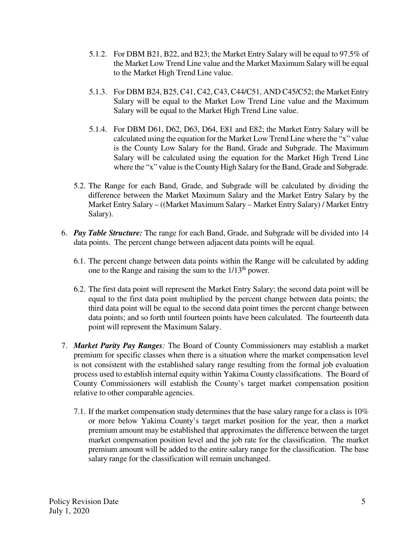- 5.1.2. For DBM B21, B22, and B23; the Market Entry Salary will be equal to 97.5% of the Market Low Trend Line value and the Market Maximum Salary will be equal to the Market High Trend Line value.
- 5.1.3. For DBM B24, B25, C41, C42, C43, C44/C51, AND C45/C52; the Market Entry Salary will be equal to the Market Low Trend Line value and the Maximum Salary will be equal to the Market High Trend Line value.
- 5.1.4. For DBM D61, D62, D63, D64, E81 and E82; the Market Entry Salary will be calculated using the equation for the Market Low Trend Line where the "x" value is the County Low Salary for the Band, Grade and Subgrade. The Maximum Salary will be calculated using the equation for the Market High Trend Line where the "x" value is the County High Salary for the Band, Grade and Subgrade.
- 5.2. The Range for each Band, Grade, and Subgrade will be calculated by dividing the difference between the Market Maximum Salary and the Market Entry Salary by the Market Entry Salary – ((Market Maximum Salary – Market Entry Salary) / Market Entry Salary).
- 6. *Pay Table Structure:* The range for each Band, Grade, and Subgrade will be divided into 14 data points. The percent change between adjacent data points will be equal.
	- 6.1. The percent change between data points within the Range will be calculated by adding one to the Range and raising the sum to the 1/13th power.
	- 6.2. The first data point will represent the Market Entry Salary; the second data point will be equal to the first data point multiplied by the percent change between data points; the third data point will be equal to the second data point times the percent change between data points; and so forth until fourteen points have been calculated. The fourteenth data point will represent the Maximum Salary.
- 7. *Market Parity Pay Ranges:* The Board of County Commissioners may establish a market premium for specific classes when there is a situation where the market compensation level is not consistent with the established salary range resulting from the formal job evaluation process used to establish internal equity within Yakima County classifications. The Board of County Commissioners will establish the County's target market compensation position relative to other comparable agencies.
	- 7.1. If the market compensation study determines that the base salary range for a class is 10% or more below Yakima County's target market position for the year, then a market premium amount may be established that approximates the difference between the target market compensation position level and the job rate for the classification. The market premium amount will be added to the entire salary range for the classification. The base salary range for the classification will remain unchanged.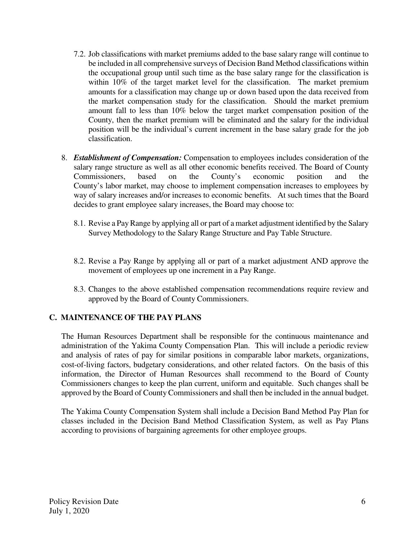- 7.2. Job classifications with market premiums added to the base salary range will continue to be included in all comprehensive surveys of Decision Band Method classifications within the occupational group until such time as the base salary range for the classification is within 10% of the target market level for the classification. The market premium amounts for a classification may change up or down based upon the data received from the market compensation study for the classification. Should the market premium amount fall to less than 10% below the target market compensation position of the County, then the market premium will be eliminated and the salary for the individual position will be the individual's current increment in the base salary grade for the job classification.
- 8. *Establishment of Compensation:* Compensation to employees includes consideration of the salary range structure as well as all other economic benefits received. The Board of County Commissioners, based on the County's economic position and the County's labor market, may choose to implement compensation increases to employees by way of salary increases and/or increases to economic benefits. At such times that the Board decides to grant employee salary increases, the Board may choose to:
	- 8.1. Revise a Pay Range by applying all or part of a market adjustment identified by the Salary Survey Methodology to the Salary Range Structure and Pay Table Structure.
	- 8.2. Revise a Pay Range by applying all or part of a market adjustment AND approve the movement of employees up one increment in a Pay Range.
	- 8.3. Changes to the above established compensation recommendations require review and approved by the Board of County Commissioners.

### **C. MAINTENANCE OF THE PAY PLANS**

The Human Resources Department shall be responsible for the continuous maintenance and administration of the Yakima County Compensation Plan. This will include a periodic review and analysis of rates of pay for similar positions in comparable labor markets, organizations, cost-of-living factors, budgetary considerations, and other related factors. On the basis of this information, the Director of Human Resources shall recommend to the Board of County Commissioners changes to keep the plan current, uniform and equitable. Such changes shall be approved by the Board of County Commissioners and shall then be included in the annual budget.

The Yakima County Compensation System shall include a Decision Band Method Pay Plan for classes included in the Decision Band Method Classification System, as well as Pay Plans according to provisions of bargaining agreements for other employee groups.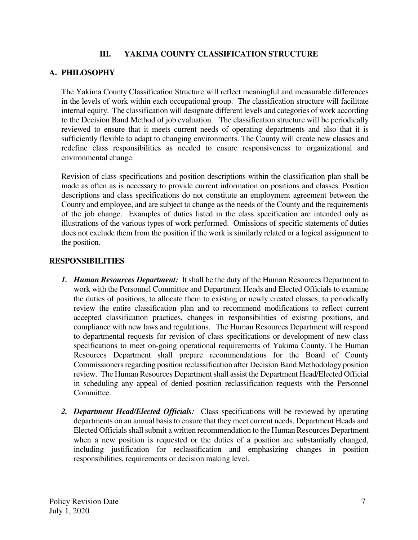### **III. YAKIMA COUNTY CLASSIFICATION STRUCTURE**

## **A. PHILOSOPHY**

The Yakima County Classification Structure will reflect meaningful and measurable differences in the levels of work within each occupational group. The classification structure will facilitate internal equity. The classification will designate different levels and categories of work according to the Decision Band Method of job evaluation. The classification structure will be periodically reviewed to ensure that it meets current needs of operating departments and also that it is sufficiently flexible to adapt to changing environments. The County will create new classes and redefine class responsibilities as needed to ensure responsiveness to organizational and environmental change.

Revision of class specifications and position descriptions within the classification plan shall be made as often as is necessary to provide current information on positions and classes. Position descriptions and class specifications do not constitute an employment agreement between the County and employee, and are subject to change as the needs of the County and the requirements of the job change. Examples of duties listed in the class specification are intended only as illustrations of the various types of work performed. Omissions of specific statements of duties does not exclude them from the position if the work is similarly related or a logical assignment to the position.

### **RESPONSIBILITIES**

- *1. Human Resources Department:* It shall be the duty of the Human Resources Department to work with the Personnel Committee and Department Heads and Elected Officials to examine the duties of positions, to allocate them to existing or newly created classes, to periodically review the entire classification plan and to recommend modifications to reflect current accepted classification practices, changes in responsibilities of existing positions, and compliance with new laws and regulations. The Human Resources Department will respond to departmental requests for revision of class specifications or development of new class specifications to meet on-going operational requirements of Yakima County. The Human Resources Department shall prepare recommendations for the Board of County Commissioners regarding position reclassification after Decision Band Methodology position review. The Human Resources Department shall assist the Department Head/Elected Official in scheduling any appeal of denied position reclassification requests with the Personnel Committee.
- *2. Department Head/Elected Officials:* Class specifications will be reviewed by operating departments on an annual basis to ensure that they meet current needs. Department Heads and Elected Officials shall submit a written recommendation to the Human Resources Department when a new position is requested or the duties of a position are substantially changed, including justification for reclassification and emphasizing changes in position responsibilities, requirements or decision making level.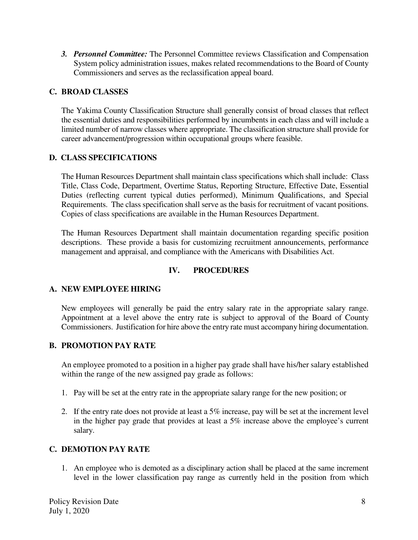*3. Personnel Committee:* The Personnel Committee reviews Classification and Compensation System policy administration issues, makes related recommendations to the Board of County Commissioners and serves as the reclassification appeal board.

## **C. BROAD CLASSES**

The Yakima County Classification Structure shall generally consist of broad classes that reflect the essential duties and responsibilities performed by incumbents in each class and will include a limited number of narrow classes where appropriate. The classification structure shall provide for career advancement/progression within occupational groups where feasible.

### **D. CLASS SPECIFICATIONS**

The Human Resources Department shall maintain class specifications which shall include: Class Title, Class Code, Department, Overtime Status, Reporting Structure, Effective Date, Essential Duties (reflecting current typical duties performed), Minimum Qualifications, and Special Requirements. The class specification shall serve as the basis for recruitment of vacant positions. Copies of class specifications are available in the Human Resources Department.

The Human Resources Department shall maintain documentation regarding specific position descriptions. These provide a basis for customizing recruitment announcements, performance management and appraisal, and compliance with the Americans with Disabilities Act.

### **IV. PROCEDURES**

### **A. NEW EMPLOYEE HIRING**

New employees will generally be paid the entry salary rate in the appropriate salary range. Appointment at a level above the entry rate is subject to approval of the Board of County Commissioners. Justification for hire above the entry rate must accompany hiring documentation.

### **B. PROMOTION PAY RATE**

An employee promoted to a position in a higher pay grade shall have his/her salary established within the range of the new assigned pay grade as follows:

- 1. Pay will be set at the entry rate in the appropriate salary range for the new position; or
- 2. If the entry rate does not provide at least a 5% increase, pay will be set at the increment level in the higher pay grade that provides at least a 5% increase above the employee's current salary.

### **C. DEMOTION PAY RATE**

1. An employee who is demoted as a disciplinary action shall be placed at the same increment level in the lower classification pay range as currently held in the position from which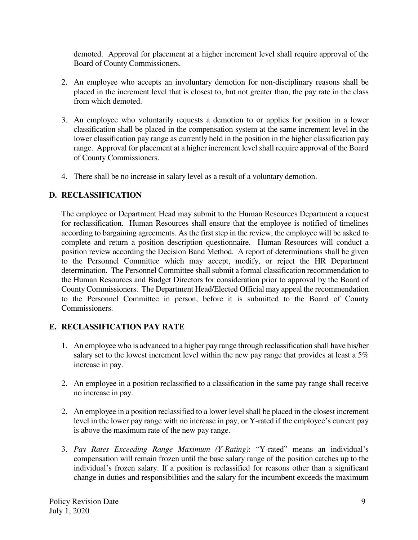demoted. Approval for placement at a higher increment level shall require approval of the Board of County Commissioners.

- 2. An employee who accepts an involuntary demotion for non-disciplinary reasons shall be placed in the increment level that is closest to, but not greater than, the pay rate in the class from which demoted.
- 3. An employee who voluntarily requests a demotion to or applies for position in a lower classification shall be placed in the compensation system at the same increment level in the lower classification pay range as currently held in the position in the higher classification pay range. Approval for placement at a higher increment level shall require approval of the Board of County Commissioners.
- 4. There shall be no increase in salary level as a result of a voluntary demotion.

# **D. RECLASSIFICATION**

The employee or Department Head may submit to the Human Resources Department a request for reclassification. Human Resources shall ensure that the employee is notified of timelines according to bargaining agreements. As the first step in the review, the employee will be asked to complete and return a position description questionnaire. Human Resources will conduct a position review according the Decision Band Method. A report of determinations shall be given to the Personnel Committee which may accept, modify, or reject the HR Department determination. The Personnel Committee shall submit a formal classification recommendation to the Human Resources and Budget Directors for consideration prior to approval by the Board of County Commissioners. The Department Head/Elected Official may appeal the recommendation to the Personnel Committee in person, before it is submitted to the Board of County Commissioners.

# **E. RECLASSIFICATION PAY RATE**

- 1. An employee who is advanced to a higher pay range through reclassification shall have his/her salary set to the lowest increment level within the new pay range that provides at least a 5% increase in pay.
- 2. An employee in a position reclassified to a classification in the same pay range shall receive no increase in pay.
- 2. An employee in a position reclassified to a lower level shall be placed in the closest increment level in the lower pay range with no increase in pay, or Y-rated if the employee's current pay is above the maximum rate of the new pay range.
- 3. *Pay Rates Exceeding Range Maximum (Y-Rating)*: "Y-rated" means an individual's compensation will remain frozen until the base salary range of the position catches up to the individual's frozen salary. If a position is reclassified for reasons other than a significant change in duties and responsibilities and the salary for the incumbent exceeds the maximum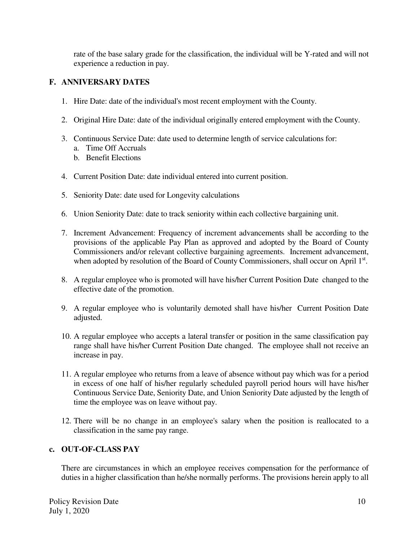rate of the base salary grade for the classification, the individual will be Y-rated and will not experience a reduction in pay.

## **F. ANNIVERSARY DATES**

- 1. Hire Date: date of the individual's most recent employment with the County.
- 2. Original Hire Date: date of the individual originally entered employment with the County.
- 3. Continuous Service Date: date used to determine length of service calculations for:
	- a. Time Off Accruals
	- b. Benefit Elections
- 4. Current Position Date: date individual entered into current position.
- 5. Seniority Date: date used for Longevity calculations
- 6. Union Seniority Date: date to track seniority within each collective bargaining unit.
- 7. Increment Advancement: Frequency of increment advancements shall be according to the provisions of the applicable Pay Plan as approved and adopted by the Board of County Commissioners and/or relevant collective bargaining agreements. Increment advancement, when adopted by resolution of the Board of County Commissioners, shall occur on April 1st.
- 8. A regular employee who is promoted will have his/her Current Position Date changed to the effective date of the promotion.
- 9. A regular employee who is voluntarily demoted shall have his/her Current Position Date adjusted.
- 10. A regular employee who accepts a lateral transfer or position in the same classification pay range shall have his/her Current Position Date changed. The employee shall not receive an increase in pay.
- 11. A regular employee who returns from a leave of absence without pay which was for a period in excess of one half of his/her regularly scheduled payroll period hours will have his/her Continuous Service Date, Seniority Date, and Union Seniority Date adjusted by the length of time the employee was on leave without pay.
- 12. There will be no change in an employee's salary when the position is reallocated to a classification in the same pay range.

### **c. OUT-OF-CLASS PAY**

There are circumstances in which an employee receives compensation for the performance of duties in a higher classification than he/she normally performs. The provisions herein apply to all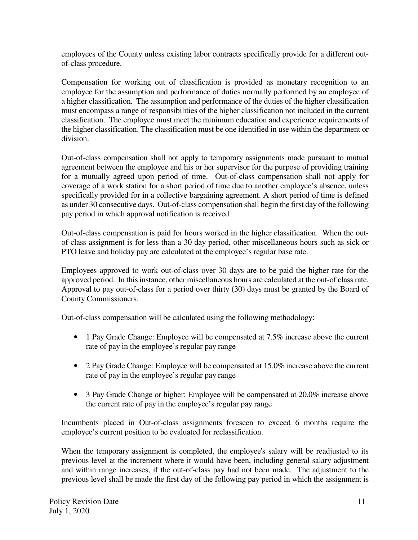employees of the County unless existing labor contracts specifically provide for a different outof-class procedure.

Compensation for working out of classification is provided as monetary recognition to an employee for the assumption and performance of duties normally performed by an employee of a higher classification. The assumption and performance of the duties of the higher classification must encompass a range of responsibilities of the higher classification not included in the current classification. The employee must meet the minimum education and experience requirements of the higher classification. The classification must be one identified in use within the department or division.

Out-of-class compensation shall not apply to temporary assignments made pursuant to mutual agreement between the employee and his or her supervisor for the purpose of providing training for a mutually agreed upon period of time. Out-of-class compensation shall not apply for coverage of a work station for a short period of time due to another employee's absence, unless specifically provided for in a collective bargaining agreement. A short period of time is defined as under 30 consecutive days. Out-of-class compensation shall begin the first day of the following pay period in which approval notification is received.

Out-of-class compensation is paid for hours worked in the higher classification. When the outof-class assignment is for less than a 30 day period, other miscellaneous hours such as sick or PTO leave and holiday pay are calculated at the employee's regular base rate.

Employees approved to work out-of-class over 30 days are to be paid the higher rate for the approved period. In this instance, other miscellaneous hours are calculated at the out-of class rate. Approval to pay out-of-class for a period over thirty (30) days must be granted by the Board of County Commissioners.

Out-of-class compensation will be calculated using the following methodology:

- 1 Pay Grade Change: Employee will be compensated at 7.5% increase above the current rate of pay in the employee's regular pay range
- 2 Pay Grade Change: Employee will be compensated at 15.0% increase above the current rate of pay in the employee's regular pay range
- 3 Pay Grade Change or higher: Employee will be compensated at 20.0% increase above the current rate of pay in the employee's regular pay range

Incumbents placed in Out-of-class assignments foreseen to exceed 6 months require the employee's current position to be evaluated for reclassification.

When the temporary assignment is completed, the employee's salary will be readjusted to its previous level at the increment where it would have been, including general salary adjustment and within range increases, if the out-of-class pay had not been made. The adjustment to the previous level shall be made the first day of the following pay period in which the assignment is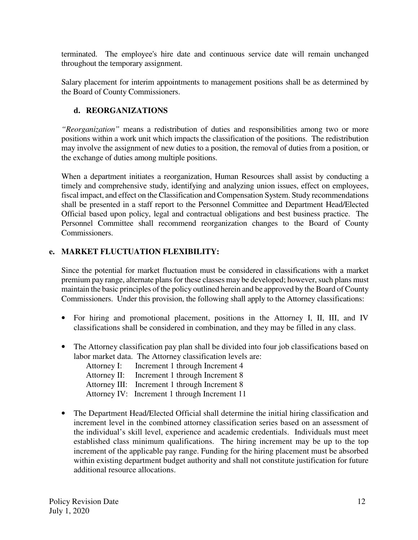terminated. The employee's hire date and continuous service date will remain unchanged throughout the temporary assignment.

Salary placement for interim appointments to management positions shall be as determined by the Board of County Commissioners.

# **d. REORGANIZATIONS**

*"Reorganization"* means a redistribution of duties and responsibilities among two or more positions within a work unit which impacts the classification of the positions. The redistribution may involve the assignment of new duties to a position, the removal of duties from a position, or the exchange of duties among multiple positions.

When a department initiates a reorganization, Human Resources shall assist by conducting a timely and comprehensive study, identifying and analyzing union issues, effect on employees, fiscal impact, and effect on the Classification and Compensation System. Study recommendations shall be presented in a staff report to the Personnel Committee and Department Head/Elected Official based upon policy, legal and contractual obligations and best business practice. The Personnel Committee shall recommend reorganization changes to the Board of County Commissioners.

## **e. MARKET FLUCTUATION FLEXIBILITY:**

Since the potential for market fluctuation must be considered in classifications with a market premium pay range, alternate plans for these classes may be developed; however, such plans must maintain the basic principles of the policy outlined herein and be approved by the Board of County Commissioners. Under this provision, the following shall apply to the Attorney classifications:

- For hiring and promotional placement, positions in the Attorney I, II, III, and IV classifications shall be considered in combination, and they may be filled in any class.
- The Attorney classification pay plan shall be divided into four job classifications based on labor market data. The Attorney classification levels are:

| Attorney I:  | Increment 1 through Increment 4               |
|--------------|-----------------------------------------------|
| Attorney II: | Increment 1 through Increment 8               |
|              | Attorney III: Increment 1 through Increment 8 |
|              | Attorney IV: Increment 1 through Increment 11 |

• The Department Head/Elected Official shall determine the initial hiring classification and increment level in the combined attorney classification series based on an assessment of the individual's skill level, experience and academic credentials. Individuals must meet established class minimum qualifications. The hiring increment may be up to the top increment of the applicable pay range. Funding for the hiring placement must be absorbed within existing department budget authority and shall not constitute justification for future additional resource allocations.